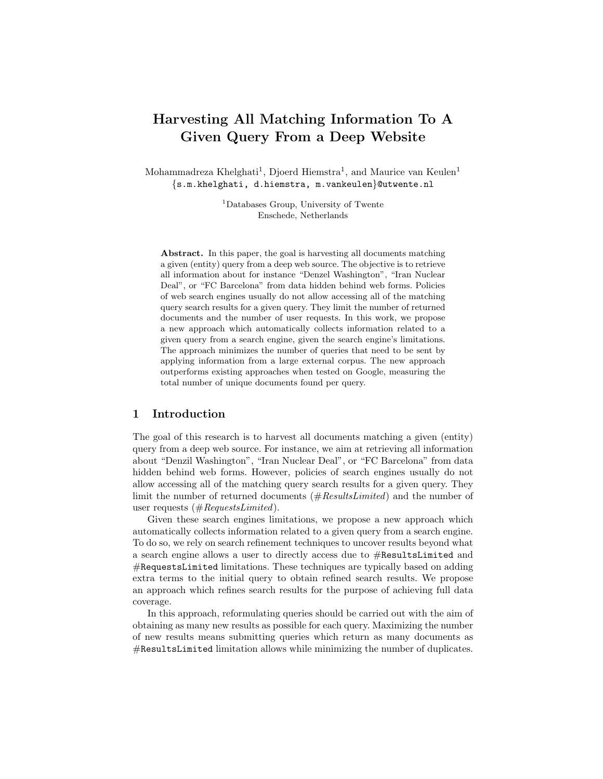# Harvesting All Matching Information To A Given Query From a Deep Website

Mohammadreza Khelghati<sup>1</sup>, Djoerd Hiemstra<sup>1</sup>, and Maurice van Keulen<sup>1</sup> {s.m.khelghati, d.hiemstra, m.vankeulen}@utwente.nl

> <sup>1</sup>Databases Group, University of Twente Enschede, Netherlands

Abstract. In this paper, the goal is harvesting all documents matching a given (entity) query from a deep web source. The objective is to retrieve all information about for instance "Denzel Washington", "Iran Nuclear Deal", or "FC Barcelona" from data hidden behind web forms. Policies of web search engines usually do not allow accessing all of the matching query search results for a given query. They limit the number of returned documents and the number of user requests. In this work, we propose a new approach which automatically collects information related to a given query from a search engine, given the search engine's limitations. The approach minimizes the number of queries that need to be sent by applying information from a large external corpus. The new approach outperforms existing approaches when tested on Google, measuring the total number of unique documents found per query.

### 1 Introduction

The goal of this research is to harvest all documents matching a given (entity) query from a deep web source. For instance, we aim at retrieving all information about "Denzil Washington", "Iran Nuclear Deal", or "FC Barcelona" from data hidden behind web forms. However, policies of search engines usually do not allow accessing all of the matching query search results for a given query. They limit the number of returned documents (#ResultsLimited) and the number of user requests  $(\#RequestsLimited).$ 

Given these search engines limitations, we propose a new approach which automatically collects information related to a given query from a search engine. To do so, we rely on search refinement techniques to uncover results beyond what a search engine allows a user to directly access due to #ResultsLimited and #RequestsLimited limitations. These techniques are typically based on adding extra terms to the initial query to obtain refined search results. We propose an approach which refines search results for the purpose of achieving full data coverage.

In this approach, reformulating queries should be carried out with the aim of obtaining as many new results as possible for each query. Maximizing the number of new results means submitting queries which return as many documents as #ResultsLimited limitation allows while minimizing the number of duplicates.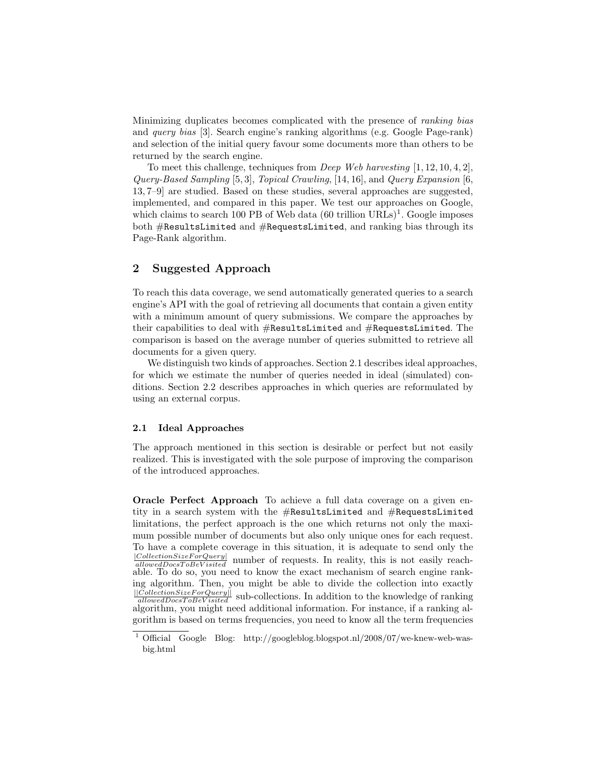Minimizing duplicates becomes complicated with the presence of ranking bias and query bias [3]. Search engine's ranking algorithms (e.g. Google Page-rank) and selection of the initial query favour some documents more than others to be returned by the search engine.

To meet this challenge, techniques from Deep Web harvesting [1, 12, 10, 4, 2], Query-Based Sampling [5, 3], Topical Crawling, [14, 16], and Query Expansion [6, 13, 7–9] are studied. Based on these studies, several approaches are suggested, implemented, and compared in this paper. We test our approaches on Google, which claims to search 100 PB of Web data  $(60 \text{ trillion URLs})^1$ . Google imposes both #ResultsLimited and #RequestsLimited, and ranking bias through its Page-Rank algorithm.

## 2 Suggested Approach

To reach this data coverage, we send automatically generated queries to a search engine's API with the goal of retrieving all documents that contain a given entity with a minimum amount of query submissions. We compare the approaches by their capabilities to deal with #ResultsLimited and #RequestsLimited. The comparison is based on the average number of queries submitted to retrieve all documents for a given query.

We distinguish two kinds of approaches. Section 2.1 describes ideal approaches, for which we estimate the number of queries needed in ideal (simulated) conditions. Section 2.2 describes approaches in which queries are reformulated by using an external corpus.

#### 2.1 Ideal Approaches

The approach mentioned in this section is desirable or perfect but not easily realized. This is investigated with the sole purpose of improving the comparison of the introduced approaches.

Oracle Perfect Approach To achieve a full data coverage on a given entity in a search system with the #ResultsLimited and #RequestsLimited limitations, the perfect approach is the one which returns not only the maximum possible number of documents but also only unique ones for each request. To have a complete coverage in this situation, it is adequate to send only the  $|CollectionSizeForQuery|$  number of requests. In reality, this is not easily reach-<br>allowedDocsToBeV isited number of requests. In reality, this is not easily reachable. To do so, you need to know the exact mechanism of search engine ranking algorithm. Then, you might be able to divide the collection into exactly  $\frac{||ColectionSizeForQuery||}{allowedDocToBeVisited}$  sub-collections. In addition to the knowledge of ranking algorithm, you might need additional information. For instance, if a ranking algorithm is based on terms frequencies, you need to know all the term frequencies

<sup>&</sup>lt;sup>1</sup> Official Google Blog: http://googleblog.blogspot.nl/2008/07/we-knew-web-wasbig.html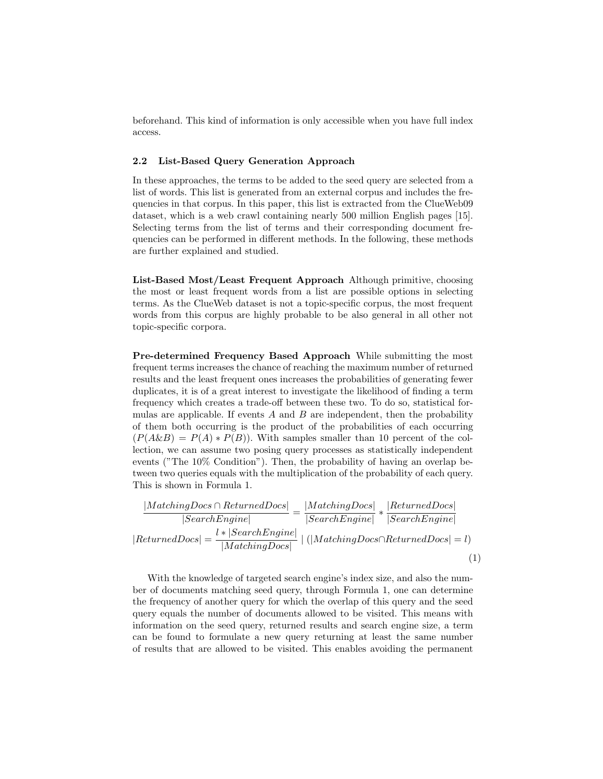beforehand. This kind of information is only accessible when you have full index access.

## 2.2 List-Based Query Generation Approach

In these approaches, the terms to be added to the seed query are selected from a list of words. This list is generated from an external corpus and includes the frequencies in that corpus. In this paper, this list is extracted from the ClueWeb09 dataset, which is a web crawl containing nearly 500 million English pages [15]. Selecting terms from the list of terms and their corresponding document frequencies can be performed in different methods. In the following, these methods are further explained and studied.

List-Based Most/Least Frequent Approach Although primitive, choosing the most or least frequent words from a list are possible options in selecting terms. As the ClueWeb dataset is not a topic-specific corpus, the most frequent words from this corpus are highly probable to be also general in all other not topic-specific corpora.

Pre-determined Frequency Based Approach While submitting the most frequent terms increases the chance of reaching the maximum number of returned results and the least frequent ones increases the probabilities of generating fewer duplicates, it is of a great interest to investigate the likelihood of finding a term frequency which creates a trade-off between these two. To do so, statistical formulas are applicable. If events  $A$  and  $B$  are independent, then the probability of them both occurring is the product of the probabilities of each occurring  $(P(A\&B) = P(A) * P(B)$ . With samples smaller than 10 percent of the collection, we can assume two posing query processes as statistically independent events ("The 10% Condition"). Then, the probability of having an overlap between two queries equals with the multiplication of the probability of each query. This is shown in Formula 1.

$$
\frac{|MatchingDocs \cap ReturnedDocs|}{|SearchEngineering|} = \frac{|MatchingDocs|}{|SearchEngineering|} * \frac{|ReturnedDocs|}{|SearchEngineering|}
$$
\n
$$
|ReturnedDocs| = \frac{l * |SearchEngineering|}{|MatchingDocs|} | (|MatchingDocs \cap ReturnedDocs| = l)
$$
\n(1)

With the knowledge of targeted search engine's index size, and also the number of documents matching seed query, through Formula 1, one can determine the frequency of another query for which the overlap of this query and the seed query equals the number of documents allowed to be visited. This means with information on the seed query, returned results and search engine size, a term can be found to formulate a new query returning at least the same number of results that are allowed to be visited. This enables avoiding the permanent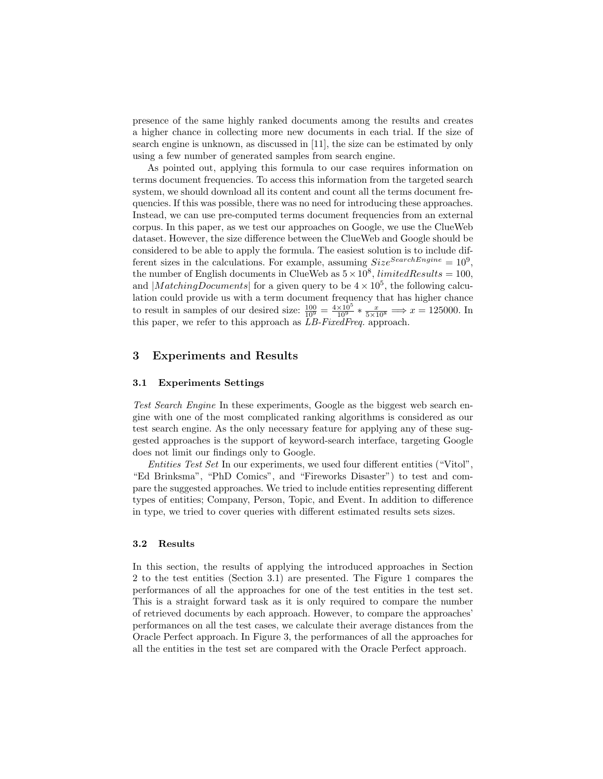presence of the same highly ranked documents among the results and creates a higher chance in collecting more new documents in each trial. If the size of search engine is unknown, as discussed in [11], the size can be estimated by only using a few number of generated samples from search engine.

As pointed out, applying this formula to our case requires information on terms document frequencies. To access this information from the targeted search system, we should download all its content and count all the terms document frequencies. If this was possible, there was no need for introducing these approaches. Instead, we can use pre-computed terms document frequencies from an external corpus. In this paper, as we test our approaches on Google, we use the ClueWeb dataset. However, the size difference between the ClueWeb and Google should be considered to be able to apply the formula. The easiest solution is to include different sizes in the calculations. For example, assuming  $Size^{SearchEngineering} = 10^9$ , the number of English documents in ClueWeb as  $5 \times 10^8$ , *limitedResults* = 100, and  $|MatchingDownents|$  for a given query to be  $4 \times 10^5$ , the following calculation could provide us with a term document frequency that has higher chance to result in samples of our desired size:  $\frac{100}{10^9} = \frac{4 \times 10^5}{10^9} * \frac{x}{5 \times 10^8} \implies x = 125000$ . In this paper, we refer to this approach as LB-FixedFreq. approach.

## 3 Experiments and Results

#### 3.1 Experiments Settings

Test Search Engine In these experiments, Google as the biggest web search engine with one of the most complicated ranking algorithms is considered as our test search engine. As the only necessary feature for applying any of these suggested approaches is the support of keyword-search interface, targeting Google does not limit our findings only to Google.

Entities Test Set In our experiments, we used four different entities ("Vitol", "Ed Brinksma", "PhD Comics", and "Fireworks Disaster") to test and compare the suggested approaches. We tried to include entities representing different types of entities; Company, Person, Topic, and Event. In addition to difference in type, we tried to cover queries with different estimated results sets sizes.

#### 3.2 Results

In this section, the results of applying the introduced approaches in Section 2 to the test entities (Section 3.1) are presented. The Figure 1 compares the performances of all the approaches for one of the test entities in the test set. This is a straight forward task as it is only required to compare the number of retrieved documents by each approach. However, to compare the approaches' performances on all the test cases, we calculate their average distances from the Oracle Perfect approach. In Figure 3, the performances of all the approaches for all the entities in the test set are compared with the Oracle Perfect approach.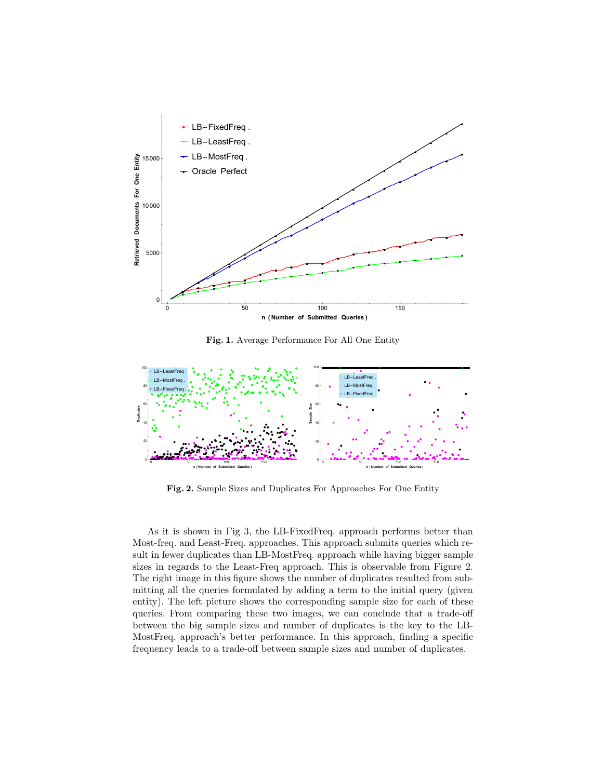

Fig. 1. Average Performance For All One Entity



Fig. 2. Sample Sizes and Duplicates For Approaches For One Entity

As it is shown in Fig 3, the LB-FixedFreq. approach performs better than Most-freq. and Least-Freq. approaches. This approach submits queries which result in fewer duplicates than LB-MostFreq. approach while having bigger sample sizes in regards to the Least-Freq approach. This is observable from Figure 2. The right image in this figure shows the number of duplicates resulted from submitting all the queries formulated by adding a term to the initial query (given entity). The left picture shows the corresponding sample size for each of these queries. From comparing these two images, we can conclude that a trade-off between the big sample sizes and number of duplicates is the key to the LB-MostFreq. approach's better performance. In this approach, finding a specific frequency leads to a trade-off between sample sizes and number of duplicates.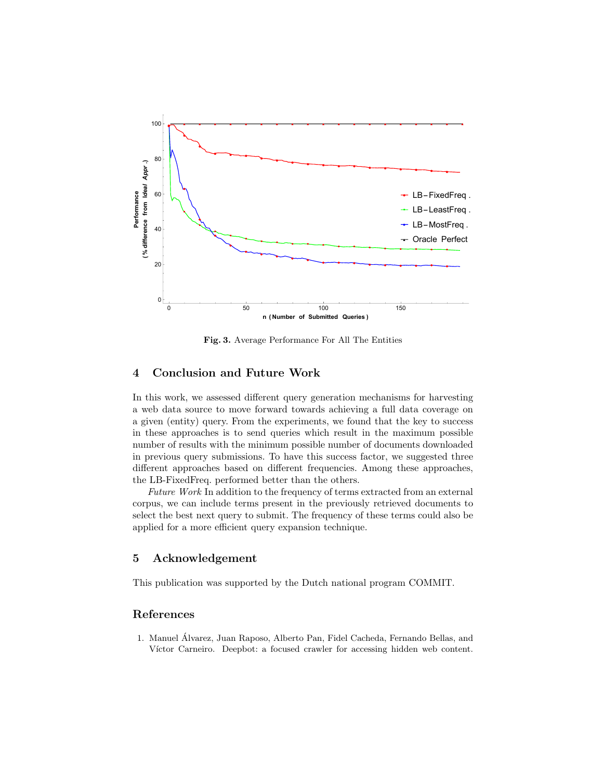

Fig. 3. Average Performance For All The Entities

# 4 Conclusion and Future Work

In this work, we assessed different query generation mechanisms for harvesting a web data source to move forward towards achieving a full data coverage on a given (entity) query. From the experiments, we found that the key to success in these approaches is to send queries which result in the maximum possible number of results with the minimum possible number of documents downloaded in previous query submissions. To have this success factor, we suggested three different approaches based on different frequencies. Among these approaches, the LB-FixedFreq. performed better than the others.

Future Work In addition to the frequency of terms extracted from an external corpus, we can include terms present in the previously retrieved documents to select the best next query to submit. The frequency of these terms could also be applied for a more efficient query expansion technique.

### 5 Acknowledgement

This publication was supported by the Dutch national program COMMIT.

## References

1. Manuel Alvarez, Juan Raposo, Alberto Pan, Fidel Cacheda, Fernando Bellas, and ´ Víctor Carneiro. Deepbot: a focused crawler for accessing hidden web content.